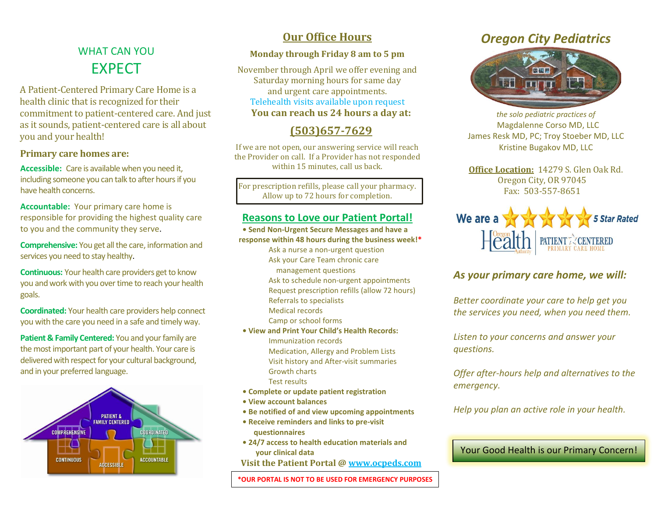## WHAT CAN YOU EXPECT

A Patient-Centered Primary Care Home is a health clinic that is recognized for their commitment to patient-centered care. And just as it sounds, patient-centered care is all about you and your health!

#### **Primary care homes are:**

**Accessible:** Care is available when you need it, including someone you can talk to after hours if you have health concerns.

**Accountable:** Your primary care home is responsible for providing the highest quality care to you and the community they serve.

**Comprehensive:** You get all the care, information and services you need to stay healthy.

**Continuous:** Your health care providers get to know you and work with you over time to reach your health goals.

**Coordinated:** Your health care providers help connect you with the care you need in a safe and timely way.

**Patient & Family Centered:** You and your family are the most important part of your health. Your care is delivered with respect for your cultural background, and in your preferred language.



### **Our Office Hours**

#### **Monday through Friday 8 am to 5 pm**

November through April we offer evening and Saturday morning hours for same day and urgent care appointments. Telehealth visits available upon request **You can reach us 24 hours a day at:**

### **(503)657-7629**

If we are not open, our answering service will reach the Provider on call. If a Provider has not responded within 15 minutes, call us back.

For prescription refills, please call your pharmacy. Allow up to 72 hours for completion.

#### **Reasons to Love our Patient Portal!**

- **Send Non-Urgent Secure Messages and have a response within 48 hours during the business week!\***
	- Ask a nurse a non-urgent question
		- Ask your Care Team chronic care
		- management questions
		- Ask to schedule non-urgent appointments
		- Request prescription refills (allow 72 hours)
	- Referrals to specialists
	- Medical records
	- Camp or school forms
- **View and Print Your Child's Health Records:**
	- Immunization records Medication, Allergy and Problem Lists
	- Visit history and After-visit summaries Growth charts
	- Test results
- **Complete or update patient registration**
- **View account balances**
- **Be notified of and view upcoming appointments**
- **• Receive reminders and links to pre-visit questionnaires**
- **• 24/7 access to health education materials and your clinical data**

**Visit the Patient Portal @ [www.ocpeds.com](http://www.ocpeds.com/)** 

**\*OUR PORTAL IS NOT TO BE USED FOR EMERGENCY PURPOSES**

### *Oregon City Pediatrics*



*the solo pediatric practices of* Magdalenne Corso MD, LLC James Resk MD, PC; Troy Stoeber MD, LLC Kristine Bugakov MD, LLC

**Office Location:** 14279 S. Glen Oak Rd. Oregon City, OR 97045 Fax: 503-557-8651



### *As your primary care home, we will:*

*Better coordinate your care to help get you the services you need, when you need them.*

*Listen to your concerns and answer your questions.*

*Offer after-hours help and alternatives to the emergency.*

*Help you plan an active role in your health.*

Your Good Health is our Primary Concern!